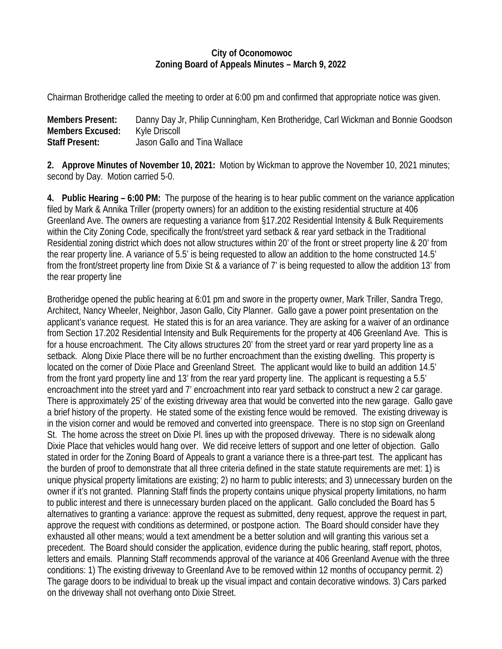## **City of Oconomowoc Zoning Board of Appeals Minutes – March 9, 2022**

Chairman Brotheridge called the meeting to order at 6:00 pm and confirmed that appropriate notice was given.

| <b>Members Present:</b> | Danny Day Jr, Philip Cunningham, Ken Brotheridge, Carl Wickman and Bonnie Goodson |
|-------------------------|-----------------------------------------------------------------------------------|
| <b>Members Excused:</b> | Kyle Driscoll                                                                     |
| <b>Staff Present:</b>   | Jason Gallo and Tina Wallace                                                      |

**2. Approve Minutes of November 10, 2021:** Motion by Wickman to approve the November 10, 2021 minutes; second by Day. Motion carried 5-0.

**4. Public Hearing – 6:00 PM:** The purpose of the hearing is to hear public comment on the variance application filed by Mark & Annika Triller (property owners) for an addition to the existing residential structure at 406 Greenland Ave. The owners are requesting a variance from §17.202 Residential Intensity & Bulk Requirements within the City Zoning Code, specifically the front/street yard setback & rear yard setback in the Traditional Residential zoning district which does not allow structures within 20' of the front or street property line & 20' from the rear property line. A variance of 5.5' is being requested to allow an addition to the home constructed 14.5' from the front/street property line from Dixie St & a variance of 7' is being requested to allow the addition 13' from the rear property line

Brotheridge opened the public hearing at 6:01 pm and swore in the property owner, Mark Triller, Sandra Trego, Architect, Nancy Wheeler, Neighbor, Jason Gallo, City Planner. Gallo gave a power point presentation on the applicant's variance request. He stated this is for an area variance. They are asking for a waiver of an ordinance from Section 17.202 Residential Intensity and Bulk Requirements for the property at 406 Greenland Ave. This is for a house encroachment. The City allows structures 20' from the street yard or rear yard property line as a setback. Along Dixie Place there will be no further encroachment than the existing dwelling. This property is located on the corner of Dixie Place and Greenland Street. The applicant would like to build an addition 14.5' from the front yard property line and 13' from the rear yard property line. The applicant is requesting a 5.5' encroachment into the street yard and 7' encroachment into rear yard setback to construct a new 2 car garage. There is approximately 25' of the existing driveway area that would be converted into the new garage. Gallo gave a brief history of the property. He stated some of the existing fence would be removed. The existing driveway is in the vision corner and would be removed and converted into greenspace. There is no stop sign on Greenland St. The home across the street on Dixie Pl. lines up with the proposed driveway. There is no sidewalk along Dixie Place that vehicles would hang over. We did receive letters of support and one letter of objection. Gallo stated in order for the Zoning Board of Appeals to grant a variance there is a three-part test. The applicant has the burden of proof to demonstrate that all three criteria defined in the state statute requirements are met: 1) is unique physical property limitations are existing; 2) no harm to public interests; and 3) unnecessary burden on the owner if it's not granted. Planning Staff finds the property contains unique physical property limitations, no harm to public interest and there is unnecessary burden placed on the applicant. Gallo concluded the Board has 5 alternatives to granting a variance: approve the request as submitted, deny request, approve the request in part, approve the request with conditions as determined, or postpone action. The Board should consider have they exhausted all other means; would a text amendment be a better solution and will granting this various set a precedent. The Board should consider the application, evidence during the public hearing, staff report, photos, letters and emails. Planning Staff recommends approval of the variance at 406 Greenland Avenue with the three conditions: 1) The existing driveway to Greenland Ave to be removed within 12 months of occupancy permit. 2) The garage doors to be individual to break up the visual impact and contain decorative windows. 3) Cars parked on the driveway shall not overhang onto Dixie Street.